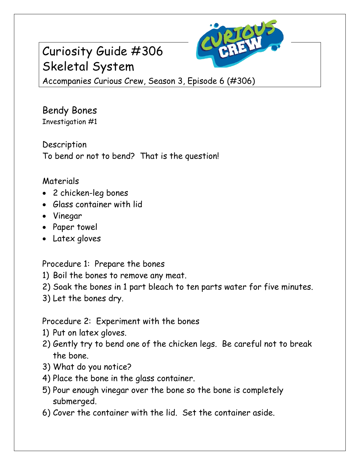# Curiosity Guide #306 Skeletal System



Accompanies Curious Crew, Season 3, Episode 6 (#306)

Bendy Bones Investigation #1

Description To bend or not to bend? That is the question!

### Materials

- 2 chicken-leg bones
- Glass container with lid
- Vinegar
- Paper towel
- Latex gloves

Procedure 1: Prepare the bones

- 1) Boil the bones to remove any meat.
- 2) Soak the bones in 1 part bleach to ten parts water for five minutes.
- 3) Let the bones dry.

### Procedure 2: Experiment with the bones

- 1) Put on latex gloves.
- 2) Gently try to bend one of the chicken legs. Be careful not to break the bone.
- 3) What do you notice?
- 4) Place the bone in the glass container.
- 5) Pour enough vinegar over the bone so the bone is completely submerged.
- 6) Cover the container with the lid. Set the container aside.